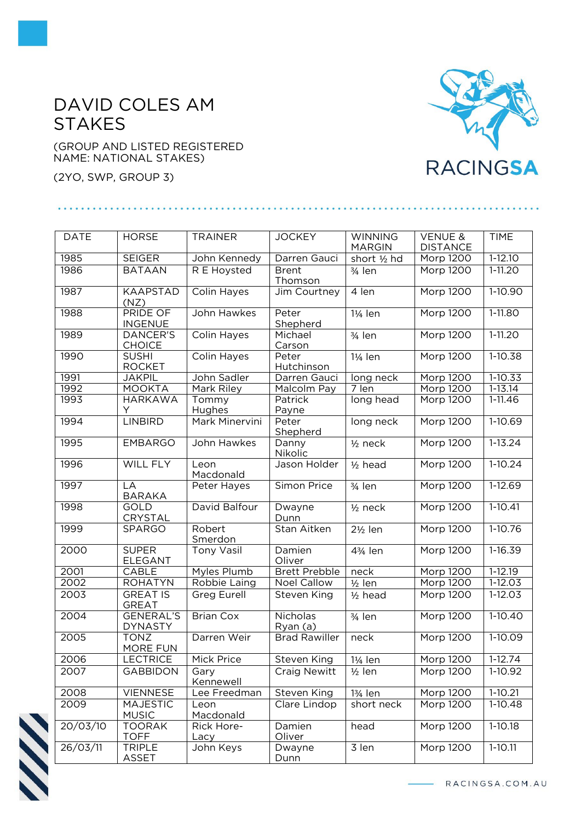## DAVID COLES AM **STAKES**

(GROUP AND LISTED REGISTERED NAME: NATIONAL STAKES)

(2YO, SWP, GROUP 3)

## **RACINGSA**

| <b>DATE</b> | <b>HORSE</b>                       | <b>TRAINER</b>        | <b>JOCKEY</b>             | <b>WINNING</b><br><b>MARGIN</b> | <b>VENUE &amp;</b><br><b>DISTANCE</b> | <b>TIME</b> |
|-------------|------------------------------------|-----------------------|---------------------------|---------------------------------|---------------------------------------|-------------|
| 1985        | <b>SEIGER</b>                      | John Kennedy          | Darren Gauci              | short 1/2 hd                    | Morp 1200                             | $1-12.10$   |
| 1986        | <b>BATAAN</b>                      | R E Hoysted           | <b>Brent</b><br>Thomson   | $\frac{3}{4}$ len               | Morp 1200                             | $1 - 11.20$ |
| 1987        | <b>KAAPSTAD</b><br>(NZ)            | Colin Hayes           | Jim Courtney              | 4 len                           | Morp 1200                             | 1-10.90     |
| 1988        | <b>PRIDE OF</b><br><b>INGENUE</b>  | John Hawkes           | Peter<br>Shepherd         | 11/ <sub>4</sub> len            | <b>Morp 1200</b>                      | $1-11.80$   |
| 1989        | <b>DANCER'S</b><br><b>CHOICE</b>   | <b>Colin Hayes</b>    | Michael<br>Carson         | $3/4$ len                       | Morp 1200                             | $1-11.20$   |
| 1990        | <b>SUSHI</b><br><b>ROCKET</b>      | Colin Hayes           | Peter<br>Hutchinson       | $1\frac{1}{4}$ len              | Morp 1200                             | 1-10.38     |
| 1991        | <b>JAKPIL</b>                      | John Sadler           | Darren Gauci              | long neck                       | Morp 1200                             | 1-10.33     |
| 1992        | <b>MOOKTA</b>                      | Mark Riley            | Malcolm Pay               | 7 len                           | Morp 1200                             | $1 - 13.14$ |
| 1993        | <b>HARKAWA</b><br>Y                | Tommy<br>Hughes       | Patrick<br>Payne          | long head                       | Morp 1200                             | $1 - 11.46$ |
| 1994        | <b>LINBIRD</b>                     | <b>Mark Minervini</b> | Peter<br>Shepherd         | long neck                       | Morp 1200                             | 1-10.69     |
| 1995        | <b>EMBARGO</b>                     | John Hawkes           | Danny<br>Nikolic          | $1/2$ neck                      | Morp 1200                             | $1 - 13.24$ |
| 1996        | <b>WILL FLY</b>                    | Leon<br>Macdonald     | Jason Holder              | $1/2$ head                      | Morp 1200                             | $1-10.24$   |
| 1997        | LA<br><b>BARAKA</b>                | Peter Hayes           | Simon Price               | $\frac{1}{3}$ len               | <b>Morp 1200</b>                      | $1-12.69$   |
| 1998        | <b>GOLD</b><br>CRYSTAL             | David Balfour         | Dwayne<br>Dunn            | $1/2$ neck                      | Morp 1200                             | $1-10.41$   |
| 1999        | <b>SPARGO</b>                      | Robert<br>Smerdon     | Stan Aitken               | $2\frac{1}{2}$ len              | Morp 1200                             | 1-10.76     |
| 2000        | <b>SUPER</b><br><b>ELEGANT</b>     | <b>Tony Vasil</b>     | Damien<br>Oliver          | 43/ <sub>4</sub> len            | Morp 1200                             | 1-16.39     |
| 2001        | CABLE                              | Myles Plumb           | <b>Brett Prebble</b>      | neck                            | Morp 1200                             | $1-12.19$   |
| 2002        | <b>ROHATYN</b>                     | Robbie Laing          | <b>Noel Callow</b>        | $1/2$ len                       | Morp 1200                             | $1-12.03$   |
| 2003        | <b>GREAT IS</b><br><b>GREAT</b>    | <b>Greg Eurell</b>    | Steven King               | $1/2$ head                      | Morp 1200                             | $1-12.03$   |
| 2004        | <b>GENERAL'S</b><br><b>DYNASTY</b> | <b>Brian Cox</b>      | Nicholas<br>$R$ yan $(a)$ | $3/4$ len                       | <b>Morp 1200</b>                      | $1-10.40$   |
| 2005        | <b>TONZ</b><br><b>MORE FUN</b>     | Darren Weir           | <b>Brad Rawiller</b>      | neck                            | Morp 1200                             | 1-10.09     |
| 2006        | LECTRICE                           | <b>Mick Price</b>     | <b>Steven King</b>        | 11/ <sub>4</sub> len            | Morp 1200                             | $1-12.74$   |
| 2007        | <b>GABBIDON</b>                    | Gary<br>Kennewell     | <b>Craig Newitt</b>       | $\frac{1}{2}$ len               | Morp 1200                             | 1-10.92     |
| 2008        | <b>VIENNESE</b>                    | Lee Freedman          | Steven King               | 13/ <sub>4</sub> len            | Morp 1200                             | $1-10.21$   |
| 2009        | <b>MAJESTIC</b><br><b>MUSIC</b>    | Leon<br>Macdonald     | Clare Lindop              | short neck                      | Morp 1200                             | $1-10.48$   |
| 20/03/10    | <b>TOORAK</b><br><b>TOFF</b>       | Rick Hore-<br>Lacy    | Damien<br>Oliver          | head                            | Morp 1200                             | $1-10.18$   |
| 26/03/11    | <b>TRIPLE</b><br>ASSET             | John Keys             | Dwayne<br>Dunn            | 3 len                           | Morp 1200                             | $1 - 10.11$ |